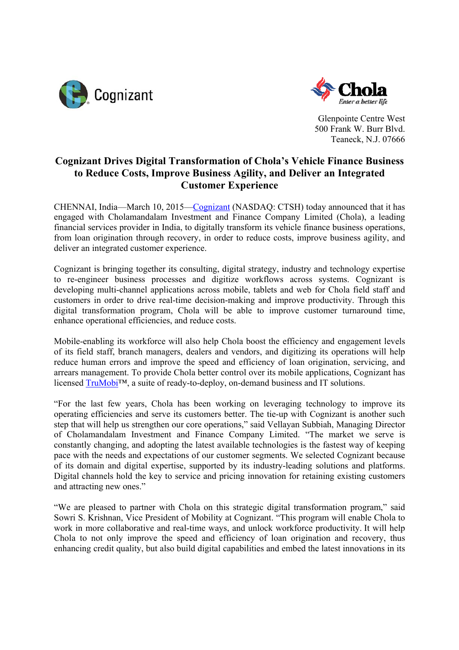



Glenpointe Centre West 500 Frank W. Burr Blvd. Teaneck, N.J. 07666

## **Cognizant Drives Digital Transformation of Chola's Vehicle Finance Business to Reduce Costs, Improve Business Agility, and Deliver an Integrated Customer Experience**

CHENNAI, India—March 10, 2015—Cognizant (NASDAQ: CTSH) today announced that it has engaged with Cholamandalam Investment and Finance Company Limited (Chola), a leading financial services provider in India, to digitally transform its vehicle finance business operations, from loan origination through recovery, in order to reduce costs, improve business agility, and deliver an integrated customer experience.

Cognizant is bringing together its consulting, digital strategy, industry and technology expertise to re-engineer business processes and digitize workflows across systems. Cognizant is developing multi-channel applications across mobile, tablets and web for Chola field staff and customers in order to drive real-time decision-making and improve productivity. Through this digital transformation program, Chola will be able to improve customer turnaround time, enhance operational efficiencies, and reduce costs.

Mobile-enabling its workforce will also help Chola boost the efficiency and engagement levels of its field staff, branch managers, dealers and vendors, and digitizing its operations will help reduce human errors and improve the speed and efficiency of loan origination, servicing, and arrears management. To provide Chola better control over its mobile applications, Cognizant has licensed TruMobi™, a suite of ready-to-deploy, on-demand business and IT solutions.

"For the last few years, Chola has been working on leveraging technology to improve its operating efficiencies and serve its customers better. The tie-up with Cognizant is another such step that will help us strengthen our core operations," said Vellayan Subbiah, Managing Director of Cholamandalam Investment and Finance Company Limited. "The market we serve is constantly changing, and adopting the latest available technologies is the fastest way of keeping pace with the needs and expectations of our customer segments. We selected Cognizant because of its domain and digital expertise, supported by its industry-leading solutions and platforms. Digital channels hold the key to service and pricing innovation for retaining existing customers and attracting new ones."

"We are pleased to partner with Chola on this strategic digital transformation program," said Sowri S. Krishnan, Vice President of Mobility at Cognizant. "This program will enable Chola to work in more collaborative and real-time ways, and unlock workforce productivity. It will help Chola to not only improve the speed and efficiency of loan origination and recovery, thus enhancing credit quality, but also build digital capabilities and embed the latest innovations in its